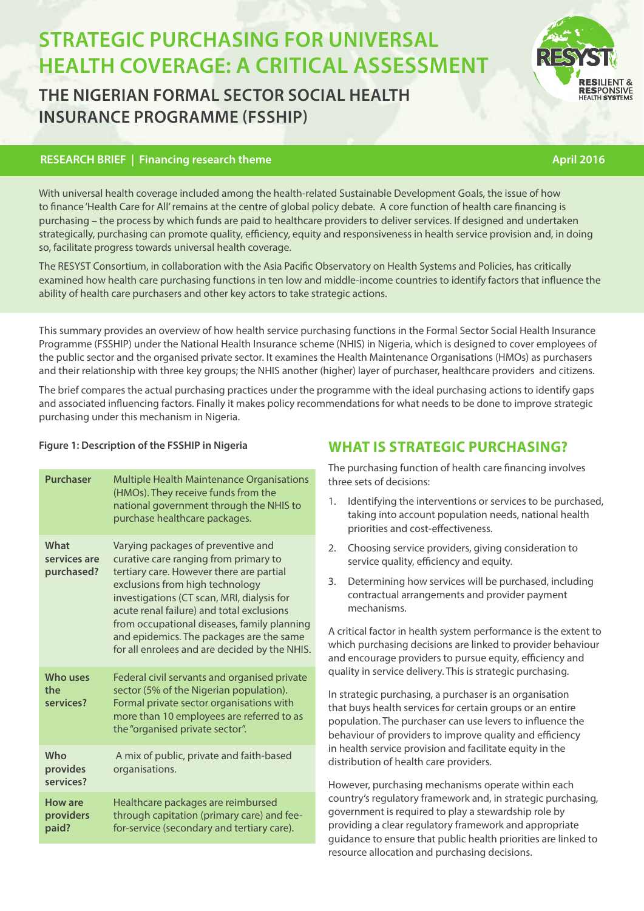# **STRATEGIC PURCHASING FOR UNIVERSAL HEALTH COVERAGE: A CRITICAL ASSESSMEI**

# **THE NIGERIAN FORMAL SECTOR SOCIAL HEALTH INSURANCE PROGRAMME (FSSHIP)**

# **RESEARCH BRIEF | Financing research theme** April 2016

With universal health coverage included among the health-related Sustainable Development Goals, the issue of how to finance 'Health Care for All' remains at the centre of global policy debate. A core function of health care financing is purchasing – the process by which funds are paid to healthcare providers to deliver services. If designed and undertaken strategically, purchasing can promote quality, efficiency, equity and responsiveness in health service provision and, in doing so, facilitate progress towards universal health coverage.

The RESYST Consortium, in collaboration with the Asia Pacific Observatory on Health Systems and Policies, has critically examined how health care purchasing functions in ten low and middle-income countries to identify factors that influence the ability of health care purchasers and other key actors to take strategic actions.

This summary provides an overview of how health service purchasing functions in the Formal Sector Social Health Insurance Programme (FSSHIP) under the National Health Insurance scheme (NHIS) in Nigeria, which is designed to cover employees of the public sector and the organised private sector. It examines the Health Maintenance Organisations (HMOs) as purchasers and their relationship with three key groups; the NHIS another (higher) layer of purchaser, healthcare providers and citizens.

The brief compares the actual purchasing practices under the programme with the ideal purchasing actions to identify gaps and associated influencing factors. Finally it makes policy recommendations for what needs to be done to improve strategic purchasing under this mechanism in Nigeria.

| <b>Purchaser</b>                     | Multiple Health Maintenance Organisations<br>(HMOs). They receive funds from the<br>national government through the NHIS to<br>purchase healthcare packages.                                                                                                                                                                                                                                      |
|--------------------------------------|---------------------------------------------------------------------------------------------------------------------------------------------------------------------------------------------------------------------------------------------------------------------------------------------------------------------------------------------------------------------------------------------------|
| What<br>services are<br>purchased?   | Varying packages of preventive and<br>curative care ranging from primary to<br>tertiary care. However there are partial<br>exclusions from high technology<br>investigations (CT scan, MRI, dialysis for<br>acute renal failure) and total exclusions<br>from occupational diseases, family planning<br>and epidemics. The packages are the same<br>for all enrolees and are decided by the NHIS. |
| Who uses<br>the<br>services?         | Federal civil servants and organised private<br>sector (5% of the Nigerian population).<br>Formal private sector organisations with<br>more than 10 employees are referred to as<br>the "organised private sector".                                                                                                                                                                               |
| Who<br>provides<br>services?         | A mix of public, private and faith-based<br>organisations.                                                                                                                                                                                                                                                                                                                                        |
| <b>How are</b><br>providers<br>paid? | Healthcare packages are reimbursed<br>through capitation (primary care) and fee-<br>for-service (secondary and tertiary care).                                                                                                                                                                                                                                                                    |

# **Figure 1: Description of the FSSHIP in Nigeria WHAT IS STRATEGIC PURCHASING?**

The purchasing function of health care financing involves three sets of decisions:

- 1. Identifying the interventions or services to be purchased, taking into account population needs, national health priorities and cost-effectiveness.
- 2. Choosing service providers, giving consideration to service quality, efficiency and equity.
- 3. Determining how services will be purchased, including contractual arrangements and provider payment mechanisms.

A critical factor in health system performance is the extent to which purchasing decisions are linked to provider behaviour and encourage providers to pursue equity, efficiency and quality in service delivery. This is strategic purchasing.

In strategic purchasing, a purchaser is an organisation that buys health services for certain groups or an entire population. The purchaser can use levers to influence the behaviour of providers to improve quality and efficiency in health service provision and facilitate equity in the distribution of health care providers.

However, purchasing mechanisms operate within each country's regulatory framework and, in strategic purchasing, government is required to play a stewardship role by providing a clear regulatory framework and appropriate guidance to ensure that public health priorities are linked to resource allocation and purchasing decisions.



**RESPONSIVE**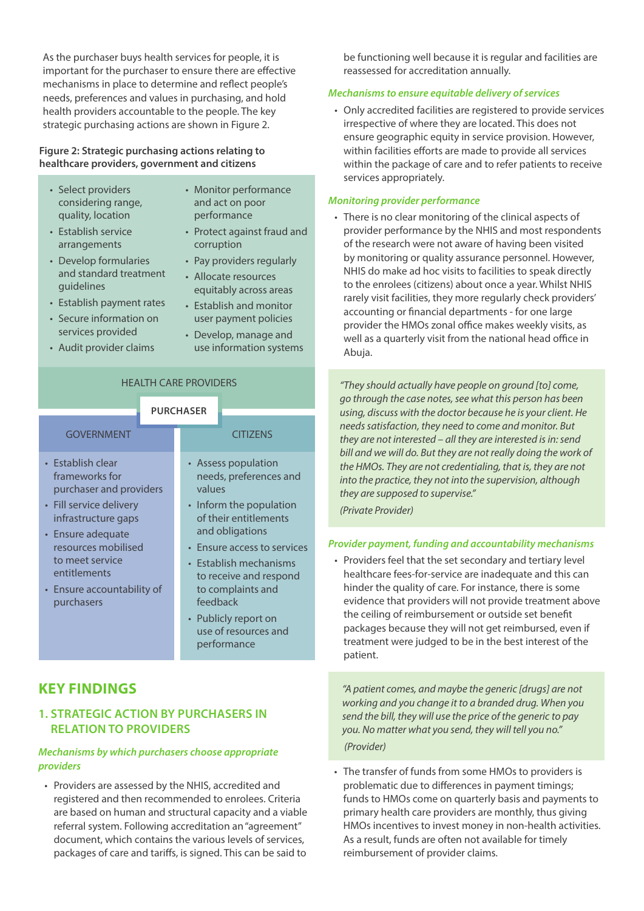As the purchaser buys health services for people, it is important for the purchaser to ensure there are effective mechanisms in place to determine and reflect people's needs, preferences and values in purchasing, and hold health providers accountable to the people. The key strategic purchasing actions are shown in Figure 2.

#### **Figure 2: Strategic purchasing actions relating to healthcare providers, government and citizens**

- Select providers considering range, quality, location
- Monitor performance and act on poor performance
- Establish service arrangements

• Develop formularies

- Protect against fraud and corruption
- Pay providers regularly • Allocate resources
- and standard treatment guidelines
- Establish payment rates
- Secure information on services provided
- Audit provider claims
- equitably across areas • Establish and monitor user payment policies
- Develop, manage and use information systems

### HEALTH CARE PROVIDERS

|                                                                                                                                                                                                                                             | <b>PURCHASER</b> |                                                                                                                                                                                                                                                                                                                   |                 |
|---------------------------------------------------------------------------------------------------------------------------------------------------------------------------------------------------------------------------------------------|------------------|-------------------------------------------------------------------------------------------------------------------------------------------------------------------------------------------------------------------------------------------------------------------------------------------------------------------|-----------------|
| <b>GOVERNMENT</b>                                                                                                                                                                                                                           |                  |                                                                                                                                                                                                                                                                                                                   | <b>CITIZENS</b> |
| • Establish clear<br>frameworks for<br>purchaser and providers<br>• Fill service delivery<br>infrastructure gaps<br>• Ensure adequate<br>resources mobilised<br>to meet service<br>entitlements<br>• Ensure accountability of<br>purchasers |                  | • Assess population<br>needs, preferences and<br>values<br>• Inform the population<br>of their entitlements<br>and obligations<br>• Ensure access to services<br>• Establish mechanisms<br>to receive and respond<br>to complaints and<br>feedback<br>• Publicly report on<br>use of resources and<br>performance |                 |

# **KEY FINDINGS**

# **1. STRATEGIC ACTION BY PURCHASERS IN RELATION TO PROVIDERS**

# *Mechanisms by which purchasers choose appropriate providers*

• Providers are assessed by the NHIS, accredited and registered and then recommended to enrolees. Criteria are based on human and structural capacity and a viable referral system. Following accreditation an "agreement" document, which contains the various levels of services, packages of care and tariffs, is signed. This can be said to

be functioning well because it is regular and facilities are reassessed for accreditation annually.

# *Mechanisms to ensure equitable delivery of services*

• Only accredited facilities are registered to provide services irrespective of where they are located. This does not ensure geographic equity in service provision. However, within facilities efforts are made to provide all services within the package of care and to refer patients to receive services appropriately.

# *Monitoring provider performance*

• There is no clear monitoring of the clinical aspects of provider performance by the NHIS and most respondents of the research were not aware of having been visited by monitoring or quality assurance personnel. However, NHIS do make ad hoc visits to facilities to speak directly to the enrolees (citizens) about once a year. Whilst NHIS rarely visit facilities, they more regularly check providers' accounting or financial departments - for one large provider the HMOs zonal office makes weekly visits, as well as a quarterly visit from the national head office in Abuja.

*"They should actually have people on ground [to] come, go through the case notes, see what this person has been using, discuss with the doctor because he is your client. He needs satisfaction, they need to come and monitor. But they are not interested – all they are interested is in: send bill and we will do. But they are not really doing the work of the HMOs. They are not credentialing, that is, they are not into the practice, they not into the supervision, although they are supposed to supervise."* 

*(Private Provider)*

# *Provider payment, funding and accountability mechanisms*

• Providers feel that the set secondary and tertiary level healthcare fees-for-service are inadequate and this can hinder the quality of care. For instance, there is some evidence that providers will not provide treatment above the ceiling of reimbursement or outside set benefit packages because they will not get reimbursed, even if treatment were judged to be in the best interest of the patient.

*"A patient comes, and maybe the generic [drugs] are not working and you change it to a branded drug. When you send the bill, they will use the price of the generic to pay you. No matter what you send, they will tell you no." (Provider)*

• The transfer of funds from some HMOs to providers is problematic due to differences in payment timings; funds to HMOs come on quarterly basis and payments to primary health care providers are monthly, thus giving HMOs incentives to invest money in non-health activities. As a result, funds are often not available for timely reimbursement of provider claims.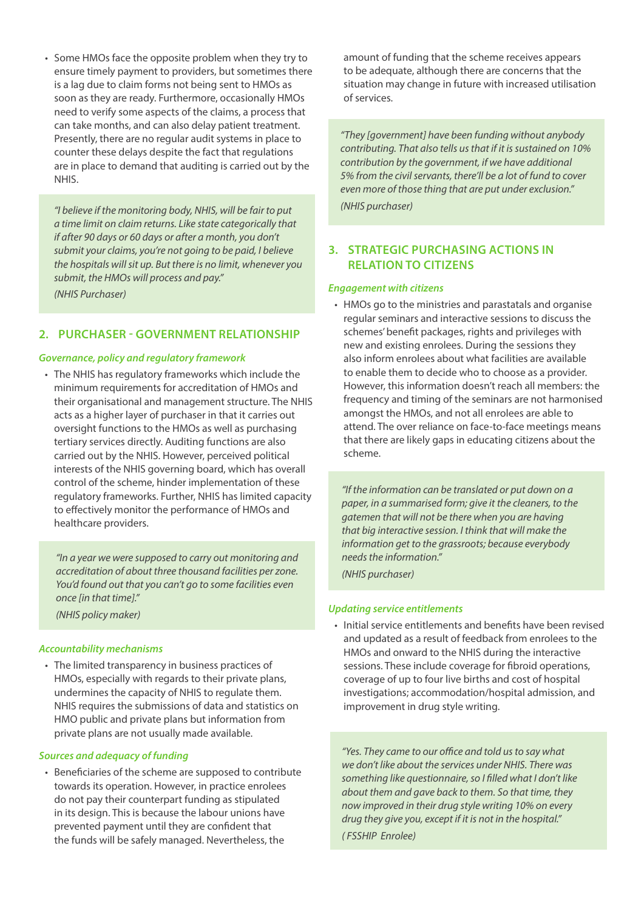• Some HMOs face the opposite problem when they try to ensure timely payment to providers, but sometimes there is a lag due to claim forms not being sent to HMOs as soon as they are ready. Furthermore, occasionally HMOs need to verify some aspects of the claims, a process that can take months, and can also delay patient treatment. Presently, there are no regular audit systems in place to counter these delays despite the fact that regulations are in place to demand that auditing is carried out by the NHIS.

*"I believe if the monitoring body, NHIS, will be fair to put a time limit on claim returns. Like state categorically that if after 90 days or 60 days or after a month, you don't submit your claims, you're not going to be paid, I believe the hospitals will sit up. But there is no limit, whenever you submit, the HMOs will process and pay." (NHIS Purchaser)*

# **2. PURCHASER - GOVERNMENT RELATIONSHIP**

#### *Governance, policy and regulatory framework*

• The NHIS has regulatory frameworks which include the minimum requirements for accreditation of HMOs and their organisational and management structure. The NHIS acts as a higher layer of purchaser in that it carries out oversight functions to the HMOs as well as purchasing tertiary services directly. Auditing functions are also carried out by the NHIS. However, perceived political interests of the NHIS governing board, which has overall control of the scheme, hinder implementation of these regulatory frameworks. Further, NHIS has limited capacity to effectively monitor the performance of HMOs and healthcare providers.

*"In a year we were supposed to carry out monitoring and accreditation of about three thousand facilities per zone. You'd found out that you can't go to some facilities even once [in that time]."* 

*(NHIS policy maker)*

#### *Accountability mechanisms*

• The limited transparency in business practices of HMOs, especially with regards to their private plans, undermines the capacity of NHIS to regulate them. NHIS requires the submissions of data and statistics on HMO public and private plans but information from private plans are not usually made available.

#### *Sources and adequacy of funding*

• Beneficiaries of the scheme are supposed to contribute towards its operation. However, in practice enrolees do not pay their counterpart funding as stipulated in its design. This is because the labour unions have prevented payment until they are confident that the funds will be safely managed. Nevertheless, the

amount of funding that the scheme receives appears to be adequate, although there are concerns that the situation may change in future with increased utilisation of services.

*"They [government] have been funding without anybody contributing. That also tells us that if it is sustained on 10% contribution by the government, if we have additional 5% from the civil servants, there'll be a lot of fund to cover even more of those thing that are put under exclusion." (NHIS purchaser)* 

### **3. STRATEGIC PURCHASING ACTIONS IN RELATION TO CITIZENS**

#### *Engagement with citizens*

• HMOs go to the ministries and parastatals and organise regular seminars and interactive sessions to discuss the schemes' benefit packages, rights and privileges with new and existing enrolees. During the sessions they also inform enrolees about what facilities are available to enable them to decide who to choose as a provider. However, this information doesn't reach all members: the frequency and timing of the seminars are not harmonised amongst the HMOs, and not all enrolees are able to attend. The over reliance on face-to-face meetings means that there are likely gaps in educating citizens about the scheme.

*"If the information can be translated or put down on a paper, in a summarised form; give it the cleaners, to the gatemen that will not be there when you are having that big interactive session. I think that will make the information get to the grassroots; because everybody needs the information."*

*(NHIS purchaser)*

#### *Updating service entitlements*

• Initial service entitlements and benefits have been revised and updated as a result of feedback from enrolees to the HMOs and onward to the NHIS during the interactive sessions. These include coverage for fibroid operations, coverage of up to four live births and cost of hospital investigations; accommodation/hospital admission, and improvement in drug style writing.

*"Yes. They came to our office and told us to say what we don't like about the services under NHIS. There was something like questionnaire, so I filled what I don't like about them and gave back to them. So that time, they now improved in their drug style writing 10% on every drug they give you, except if it is not in the hospital." ( FSSHIP Enrolee)*